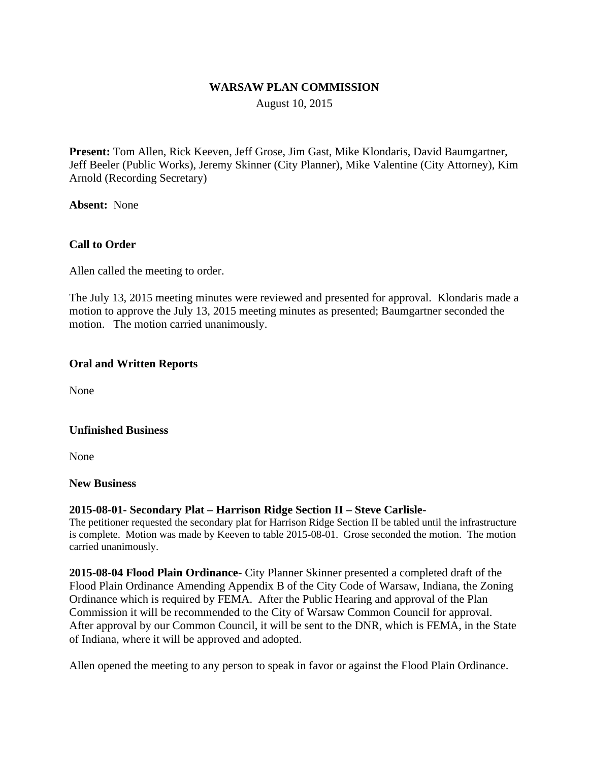## **WARSAW PLAN COMMISSION**

August 10, 2015

**Present:** Tom Allen, Rick Keeven, Jeff Grose, Jim Gast, Mike Klondaris, David Baumgartner, Jeff Beeler (Public Works), Jeremy Skinner (City Planner), Mike Valentine (City Attorney), Kim Arnold (Recording Secretary)

**Absent:** None

## **Call to Order**

Allen called the meeting to order.

The July 13, 2015 meeting minutes were reviewed and presented for approval. Klondaris made a motion to approve the July 13, 2015 meeting minutes as presented; Baumgartner seconded the motion. The motion carried unanimously.

### **Oral and Written Reports**

None

### **Unfinished Business**

None

#### **New Business**

#### **2015-08-01- Secondary Plat – Harrison Ridge Section II – Steve Carlisle-**

The petitioner requested the secondary plat for Harrison Ridge Section II be tabled until the infrastructure is complete. Motion was made by Keeven to table 2015-08-01. Grose seconded the motion. The motion carried unanimously.

**2015-08-04 Flood Plain Ordinance**- City Planner Skinner presented a completed draft of the Flood Plain Ordinance Amending Appendix B of the City Code of Warsaw, Indiana, the Zoning Ordinance which is required by FEMA. After the Public Hearing and approval of the Plan Commission it will be recommended to the City of Warsaw Common Council for approval. After approval by our Common Council, it will be sent to the DNR, which is FEMA, in the State of Indiana, where it will be approved and adopted.

Allen opened the meeting to any person to speak in favor or against the Flood Plain Ordinance.